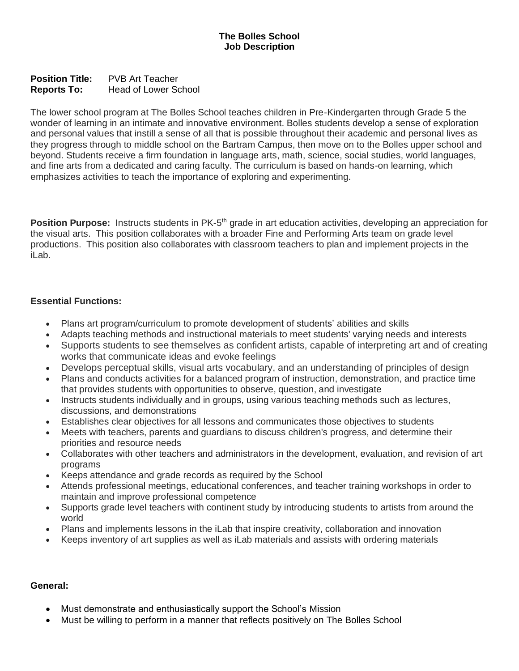**Position Title:** PVB Art Teacher **Reports To:** Head of Lower School

The lower school program at The Bolles School teaches children in Pre-Kindergarten through Grade 5 the wonder of learning in an intimate and innovative environment. Bolles students develop a sense of exploration and personal values that instill a sense of all that is possible throughout their academic and personal lives as they progress through to middle school on the Bartram Campus, then move on to the Bolles upper school and beyond. Students receive a firm foundation in language arts, math, science, social studies, world languages, and fine arts from a dedicated and caring faculty. The curriculum is based on hands-on learning, which emphasizes activities to teach the importance of exploring and experimenting.

Position Purpose: Instructs students in PK-5<sup>th</sup> grade in art education activities, developing an appreciation for the visual arts. This position collaborates with a broader Fine and Performing Arts team on grade level productions. This position also collaborates with classroom teachers to plan and implement projects in the iLab.

## **Essential Functions:**

- Plans art program/curriculum to promote development of students' abilities and skills
- Adapts teaching methods and instructional materials to meet students' varying needs and interests
- Supports students to see themselves as confident artists, capable of interpreting art and of creating works that communicate ideas and evoke feelings
- Develops perceptual skills, visual arts vocabulary, and an understanding of principles of design
- Plans and conducts activities for a balanced program of instruction, demonstration, and practice time that provides students with opportunities to observe, question, and investigate
- Instructs students individually and in groups, using various teaching methods such as lectures, discussions, and demonstrations
- Establishes clear objectives for all lessons and communicates those objectives to students
- Meets with teachers, parents and guardians to discuss children's progress, and determine their priorities and resource needs
- Collaborates with other teachers and administrators in the development, evaluation, and revision of art programs
- Keeps attendance and grade records as required by the School
- Attends professional meetings, educational conferences, and teacher training workshops in order to maintain and improve professional competence
- Supports grade level teachers with continent study by introducing students to artists from around the world
- Plans and implements lessons in the iLab that inspire creativity, collaboration and innovation
- Keeps inventory of art supplies as well as iLab materials and assists with ordering materials

## **General:**

- Must demonstrate and enthusiastically support the School's Mission
- Must be willing to perform in a manner that reflects positively on The Bolles School